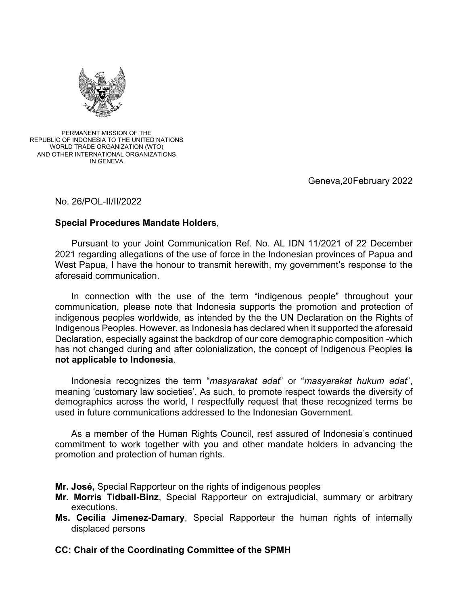

#### PERMANENT MISSION OF THE REPUBLIC OF INDONESIA TO THE UNITED NATIONS WORLD TRADE ORGANIZATION (WTO) AND OTHER INTERNATIONAL ORGANIZATIONS IN GENEVA

Geneva, 20 February 2022

# No. 26/POL-II/II/2022

# **Special Procedures Mandate Holders**,

Pursuant to your Joint Communication Ref. No. AL IDN 11/2021 of 22 December 2021 regarding allegations of the use of force in the Indonesian provinces of Papua and West Papua, I have the honour to transmit herewith, my government's response to the aforesaid communication.

In connection with the use of the term "indigenous people" throughout your communication, please note that Indonesia supports the promotion and protection of indigenous peoples worldwide, as intended by the the UN Declaration on the Rights of Indigenous Peoples. However, as Indonesia has declared when it supported the aforesaid Declaration, especially against the backdrop of our core demographic composition -which has not changed during and after colonialization, the concept of Indigenous Peoples **is not applicable to Indonesia**.

Indonesia recognizes the term "*masyarakat adat*" or "*masyarakat hukum adat*", meaning 'customary law societies'. As such, to promote respect towards the diversity of demographics across the world, I respectfully request that these recognized terms be used in future communications addressed to the Indonesian Government.

As a member of the Human Rights Council, rest assured of Indonesia's continued commitment to work together with you and other mandate holders in advancing the promotion and protection of human rights.

**Mr. José,** Special Rapporteur on the rights of indigenous peoples

- **Mr. Morris Tidball-Binz**, Special Rapporteur on extrajudicial, summary or arbitrary executions.
- **Ms. Cecilia Jimenez-Damary**, Special Rapporteur the human rights of internally displaced persons

# **CC: Chair of the Coordinating Committee of the SPMH**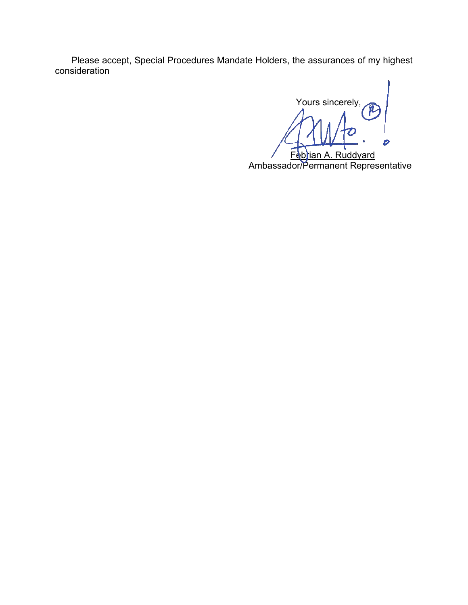Please accept, Special Procedures Mandate Holders, the assurances of my highest consideration

 Yours sincerely, Febrian A. Ruddyard

Ambassador/Permanent Representative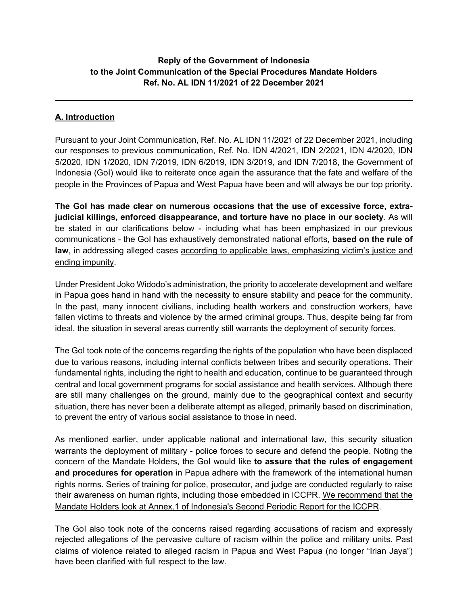# **Reply of the Government of Indonesia to the Joint Communication of the Special Procedures Mandate Holders Ref. No. AL IDN 11/2021 of 22 December 2021**

# **A. Introduction**

Pursuant to your Joint Communication, Ref. No. AL IDN 11/2021 of 22 December 2021, including our responses to previous communication, Ref. No. IDN 4/2021, IDN 2/2021, IDN 4/2020, IDN 5/2020, IDN 1/2020, IDN 7/2019, IDN 6/2019, IDN 3/2019, and IDN 7/2018, the Government of Indonesia (GoI) would like to reiterate once again the assurance that the fate and welfare of the people in the Provinces of Papua and West Papua have been and will always be our top priority.

**The GoI has made clear on numerous occasions that the use of excessive force, extrajudicial killings, enforced disappearance, and torture have no place in our society**. As will be stated in our clarifications below - including what has been emphasized in our previous communications - the GoI has exhaustively demonstrated national efforts, **based on the rule of law**, in addressing alleged cases according to applicable laws, emphasizing victim's justice and ending impunity.

Under President Joko Widodo's administration, the priority to accelerate development and welfare in Papua goes hand in hand with the necessity to ensure stability and peace for the community. In the past, many innocent civilians, including health workers and construction workers, have fallen victims to threats and violence by the armed criminal groups. Thus, despite being far from ideal, the situation in several areas currently still warrants the deployment of security forces.

The GoI took note of the concerns regarding the rights of the population who have been displaced due to various reasons, including internal conflicts between tribes and security operations. Their fundamental rights, including the right to health and education, continue to be guaranteed through central and local government programs for social assistance and health services. Although there are still many challenges on the ground, mainly due to the geographical context and security situation, there has never been a deliberate attempt as alleged, primarily based on discrimination, to prevent the entry of various social assistance to those in need.

As mentioned earlier, under applicable national and international law, this security situation warrants the deployment of military - police forces to secure and defend the people. Noting the concern of the Mandate Holders, the GoI would like **to assure that the rules of engagement and procedures for operation** in Papua adhere with the framework of the international human rights norms. Series of training for police, prosecutor, and judge are conducted regularly to raise their awareness on human rights, including those embedded in ICCPR. We recommend that the Mandate Holders look at Annex.1 of Indonesia's Second Periodic Report for the ICCPR.

The GoI also took note of the concerns raised regarding accusations of racism and expressly rejected allegations of the pervasive culture of racism within the police and military units. Past claims of violence related to alleged racism in Papua and West Papua (no longer "Irian Jaya") have been clarified with full respect to the law.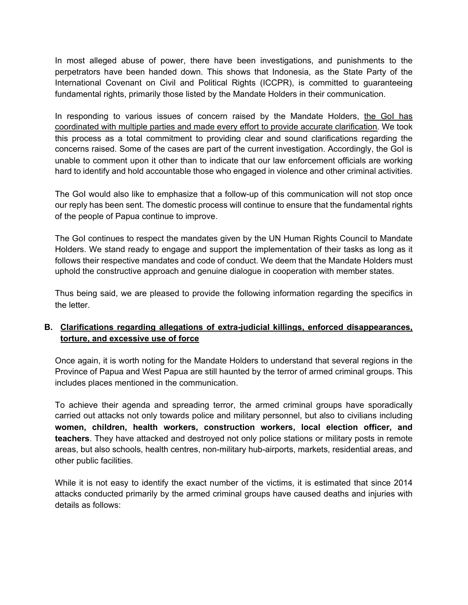In most alleged abuse of power, there have been investigations, and punishments to the perpetrators have been handed down. This shows that Indonesia, as the State Party of the International Covenant on Civil and Political Rights (ICCPR), is committed to guaranteeing fundamental rights, primarily those listed by the Mandate Holders in their communication.

In responding to various issues of concern raised by the Mandate Holders, the GoI has coordinated with multiple parties and made every effort to provide accurate clarification. We took this process as a total commitment to providing clear and sound clarifications regarding the concerns raised. Some of the cases are part of the current investigation. Accordingly, the GoI is unable to comment upon it other than to indicate that our law enforcement officials are working hard to identify and hold accountable those who engaged in violence and other criminal activities.

The GoI would also like to emphasize that a follow-up of this communication will not stop once our reply has been sent. The domestic process will continue to ensure that the fundamental rights of the people of Papua continue to improve.

The GoI continues to respect the mandates given by the UN Human Rights Council to Mandate Holders. We stand ready to engage and support the implementation of their tasks as long as it follows their respective mandates and code of conduct. We deem that the Mandate Holders must uphold the constructive approach and genuine dialogue in cooperation with member states.

Thus being said, we are pleased to provide the following information regarding the specifics in the letter.

# **B. Clarifications regarding allegations of extra-judicial killings, enforced disappearances, torture, and excessive use of force**

Once again, it is worth noting for the Mandate Holders to understand that several regions in the Province of Papua and West Papua are still haunted by the terror of armed criminal groups. This includes places mentioned in the communication.

To achieve their agenda and spreading terror, the armed criminal groups have sporadically carried out attacks not only towards police and military personnel, but also to civilians including **women, children, health workers, construction workers, local election officer, and teachers**. They have attacked and destroyed not only police stations or military posts in remote areas, but also schools, health centres, non-military hub-airports, markets, residential areas, and other public facilities.

While it is not easy to identify the exact number of the victims, it is estimated that since 2014 attacks conducted primarily by the armed criminal groups have caused deaths and injuries with details as follows: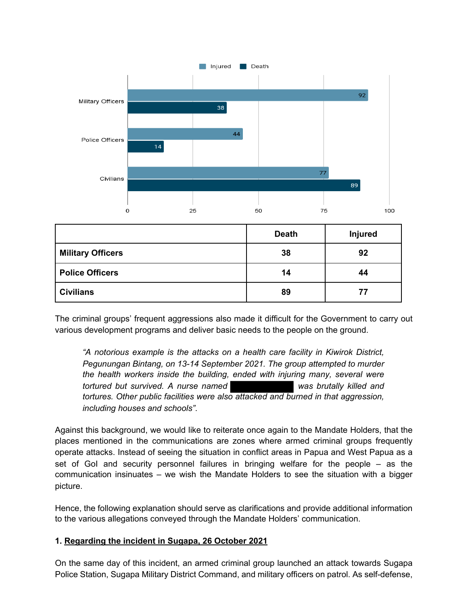

|                          | <b>Death</b> | <b>Injured</b> |
|--------------------------|--------------|----------------|
| <b>Military Officers</b> | 38           | 92             |
| <b>Police Officers</b>   | 14           | 44             |
| <b>Civilians</b>         | 89           | 77             |

The criminal groups' frequent aggressions also made it difficult for the Government to carry out various development programs and deliver basic needs to the people on the ground.

*"A notorious example is the attacks on a health care facility in Kiwirok District, Pegunungan Bintang, on 13-14 September 2021. The group attempted to murder the health workers inside the building, ended with injuring many, several were tortured but survived. A nurse named was brutally killed and tortures. Other public facilities were also attacked and burned in that aggression, including houses and schools"*.

Against this background, we would like to reiterate once again to the Mandate Holders, that the places mentioned in the communications are zones where armed criminal groups frequently operate attacks. Instead of seeing the situation in conflict areas in Papua and West Papua as a set of GoI and security personnel failures in bringing welfare for the people – as the communication insinuates – we wish the Mandate Holders to see the situation with a bigger picture.

Hence, the following explanation should serve as clarifications and provide additional information to the various allegations conveyed through the Mandate Holders' communication.

# **1. Regarding the incident in Sugapa, 26 October 2021**

On the same day of this incident, an armed criminal group launched an attack towards Sugapa Police Station, Sugapa Military District Command, and military officers on patrol. As self-defense,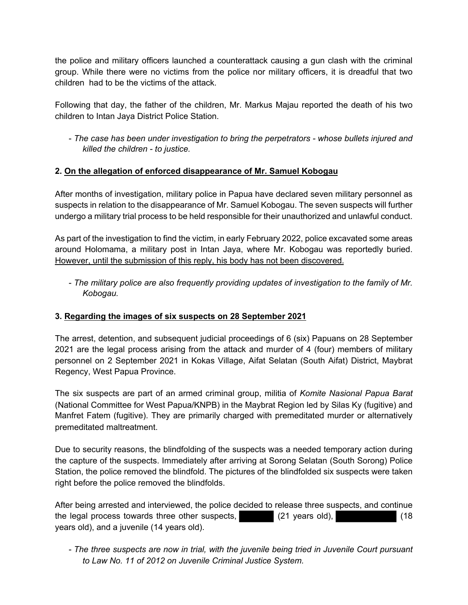the police and military officers launched a counterattack causing a gun clash with the criminal group. While there were no victims from the police nor military officers, it is dreadful that two children had to be the victims of the attack.

Following that day, the father of the children, Mr. Markus Majau reported the death of his two children to Intan Jaya District Police Station.

- *The case has been under investigation to bring the perpetrators - whose bullets injured and killed the children - to justice.* 

# **2. On the allegation of enforced disappearance of Mr. Samuel Kobogau**

After months of investigation, military police in Papua have declared seven military personnel as suspects in relation to the disappearance of Mr. Samuel Kobogau. The seven suspects will further undergo a military trial process to be held responsible for their unauthorized and unlawful conduct.

As part of the investigation to find the victim, in early February 2022, police excavated some areas around Holomama, a military post in Intan Jaya, where Mr. Kobogau was reportedly buried. However, until the submission of this reply, his body has not been discovered.

- *The military police are also frequently providing updates of investigation to the family of Mr. Kobogau.* 

# **3. Regarding the images of six suspects on 28 September 2021**

The arrest, detention, and subsequent judicial proceedings of 6 (six) Papuans on 28 September 2021 are the legal process arising from the attack and murder of 4 (four) members of military personnel on 2 September 2021 in Kokas Village, Aifat Selatan (South Aifat) District, Maybrat Regency, West Papua Province.

The six suspects are part of an armed criminal group, militia of *Komite Nasional Papua Barat* (National Committee for West Papua/KNPB) in the Maybrat Region led by Silas Ky (fugitive) and Manfret Fatem (fugitive). They are primarily charged with premeditated murder or alternatively premeditated maltreatment.

Due to security reasons, the blindfolding of the suspects was a needed temporary action during the capture of the suspects. Immediately after arriving at Sorong Selatan (South Sorong) Police Station, the police removed the blindfold. The pictures of the blindfolded six suspects were taken right before the police removed the blindfolds.

After being arrested and interviewed, the police decided to release three suspects, and continue the legal process towards three other suspects, (21 years old), (18 years old), and a juvenile (14 years old).

- *The three suspects are now in trial, with the juvenile being tried in Juvenile Court pursuant to Law No. 11 of 2012 on Juvenile Criminal Justice System.*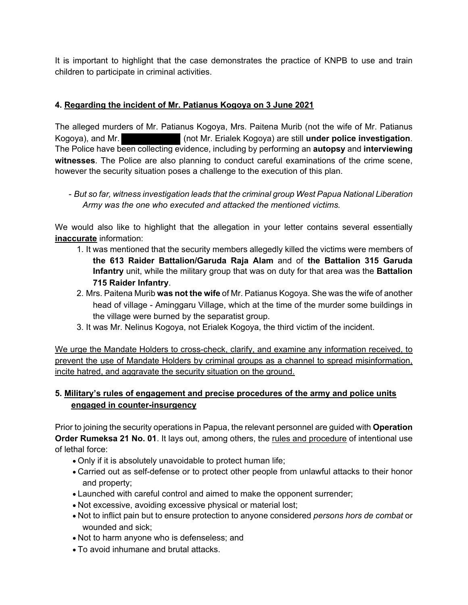It is important to highlight that the case demonstrates the practice of KNPB to use and train children to participate in criminal activities.

# **4. Regarding the incident of Mr. Patianus Kogoya on 3 June 2021**

The alleged murders of Mr. Patianus Kogoya, Mrs. Paitena Murib (not the wife of Mr. Patianus Kogoya), and Mr. (not Mr. Erialek Kogoya) are still **under police investigation**. The Police have been collecting evidence, including by performing an **autopsy** and **interviewing witnesses**. The Police are also planning to conduct careful examinations of the crime scene, however the security situation poses a challenge to the execution of this plan.

- *But so far, witness investigation leads that the criminal group West Papua National Liberation Army was the one who executed and attacked the mentioned victims.* 

We would also like to highlight that the allegation in your letter contains several essentially **inaccurate** information:

- 1. It was mentioned that the security members allegedly killed the victims were members of **the 613 Raider Battalion/Garuda Raja Alam** and of **the Battalion 315 Garuda Infantry** unit, while the military group that was on duty for that area was the **Battalion 715 Raider Infantry**.
- 2. Mrs. Paitena Murib **was not the wife** of Mr. Patianus Kogoya. She was the wife of another head of village - Aminggaru Village, which at the time of the murder some buildings in the village were burned by the separatist group.
- 3. It was Mr. Nelinus Kogoya, not Erialek Kogoya, the third victim of the incident.

We urge the Mandate Holders to cross-check, clarify, and examine any information received, to prevent the use of Mandate Holders by criminal groups as a channel to spread misinformation, incite hatred, and aggravate the security situation on the ground.

# **5. Military's rules of engagement and precise procedures of the army and police units engaged in counter-insurgency**

Prior to joining the security operations in Papua, the relevant personnel are guided with **Operation Order Rumeksa 21 No. 01**. It lays out, among others, the rules and procedure of intentional use of lethal force:

- Only if it is absolutely unavoidable to protect human life;
- Carried out as self-defense or to protect other people from unlawful attacks to their honor and property;
- Launched with careful control and aimed to make the opponent surrender;
- Not excessive, avoiding excessive physical or material lost;
- Not to inflict pain but to ensure protection to anyone considered *persons hors de combat* or wounded and sick;
- Not to harm anyone who is defenseless; and
- To avoid inhumane and brutal attacks.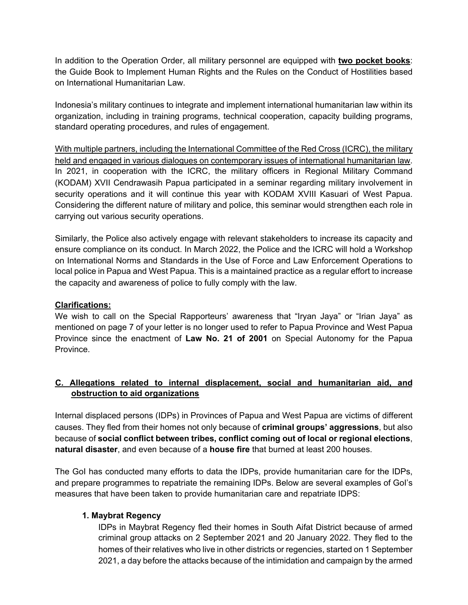In addition to the Operation Order, all military personnel are equipped with **two pocket books**: the Guide Book to Implement Human Rights and the Rules on the Conduct of Hostilities based on International Humanitarian Law.

Indonesia's military continues to integrate and implement international humanitarian law within its organization, including in training programs, technical cooperation, capacity building programs, standard operating procedures, and rules of engagement.

With multiple partners, including the International Committee of the Red Cross (ICRC), the military held and engaged in various dialogues on contemporary issues of international humanitarian law. In 2021, in cooperation with the ICRC, the military officers in Regional Military Command (KODAM) XVII Cendrawasih Papua participated in a seminar regarding military involvement in security operations and it will continue this year with KODAM XVIII Kasuari of West Papua. Considering the different nature of military and police, this seminar would strengthen each role in carrying out various security operations.

Similarly, the Police also actively engage with relevant stakeholders to increase its capacity and ensure compliance on its conduct. In March 2022, the Police and the ICRC will hold a Workshop on International Norms and Standards in the Use of Force and Law Enforcement Operations to local police in Papua and West Papua. This is a maintained practice as a regular effort to increase the capacity and awareness of police to fully comply with the law.

### **Clarifications:**

We wish to call on the Special Rapporteurs' awareness that "Iryan Jaya" or "Irian Jaya" as mentioned on page 7 of your letter is no longer used to refer to Papua Province and West Papua Province since the enactment of **Law No. 21 of 2001** on Special Autonomy for the Papua Province.

# **C. Allegations related to internal displacement, social and humanitarian aid, and obstruction to aid organizations**

Internal displaced persons (IDPs) in Provinces of Papua and West Papua are victims of different causes. They fled from their homes not only because of **criminal groups' aggressions**, but also because of **social conflict between tribes, conflict coming out of local or regional elections**, **natural disaster**, and even because of a **house fire** that burned at least 200 houses.

The GoI has conducted many efforts to data the IDPs, provide humanitarian care for the IDPs, and prepare programmes to repatriate the remaining IDPs. Below are several examples of GoI's measures that have been taken to provide humanitarian care and repatriate IDPS:

### **1. Maybrat Regency**

IDPs in Maybrat Regency fled their homes in South Aifat District because of armed criminal group attacks on 2 September 2021 and 20 January 2022. They fled to the homes of their relatives who live in other districts or regencies, started on 1 September 2021, a day before the attacks because of the intimidation and campaign by the armed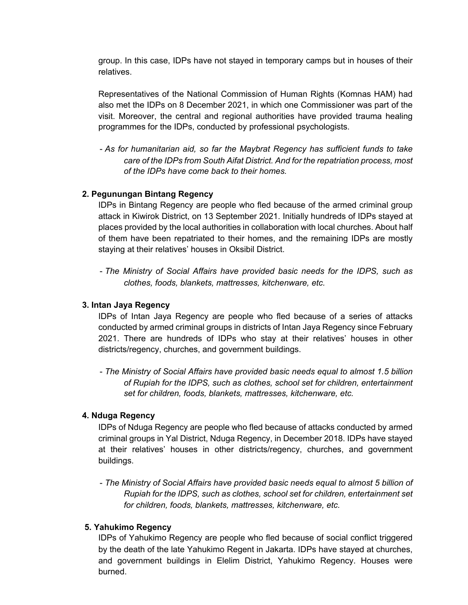group. In this case, IDPs have not stayed in temporary camps but in houses of their relatives.

Representatives of the National Commission of Human Rights (Komnas HAM) had also met the IDPs on 8 December 2021, in which one Commissioner was part of the visit. Moreover, the central and regional authorities have provided trauma healing programmes for the IDPs, conducted by professional psychologists.

- *As for humanitarian aid, so far the Maybrat Regency has sufficient funds to take care of the IDPs from South Aifat District. And for the repatriation process, most of the IDPs have come back to their homes.*

### **2. Pegunungan Bintang Regency**

IDPs in Bintang Regency are people who fled because of the armed criminal group attack in Kiwirok District, on 13 September 2021. Initially hundreds of IDPs stayed at places provided by the local authorities in collaboration with local churches. About half of them have been repatriated to their homes, and the remaining IDPs are mostly staying at their relatives' houses in Oksibil District.

- *The Ministry of Social Affairs have provided basic needs for the IDPS, such as clothes, foods, blankets, mattresses, kitchenware, etc.*

### **3. Intan Jaya Regency**

IDPs of Intan Jaya Regency are people who fled because of a series of attacks conducted by armed criminal groups in districts of Intan Jaya Regency since February 2021. There are hundreds of IDPs who stay at their relatives' houses in other districts/regency, churches, and government buildings.

- *The Ministry of Social Affairs have provided basic needs equal to almost 1.5 billion of Rupiah for the IDPS, such as clothes, school set for children, entertainment set for children, foods, blankets, mattresses, kitchenware, etc.*

### **4. Nduga Regency**

IDPs of Nduga Regency are people who fled because of attacks conducted by armed criminal groups in Yal District, Nduga Regency, in December 2018. IDPs have stayed at their relatives' houses in other districts/regency, churches, and government buildings.

- *The Ministry of Social Affairs have provided basic needs equal to almost 5 billion of Rupiah for the IDPS, such as clothes, school set for children, entertainment set for children, foods, blankets, mattresses, kitchenware, etc.*

### **5. Yahukimo Regency**

IDPs of Yahukimo Regency are people who fled because of social conflict triggered by the death of the late Yahukimo Regent in Jakarta. IDPs have stayed at churches, and government buildings in Elelim District, Yahukimo Regency. Houses were burned.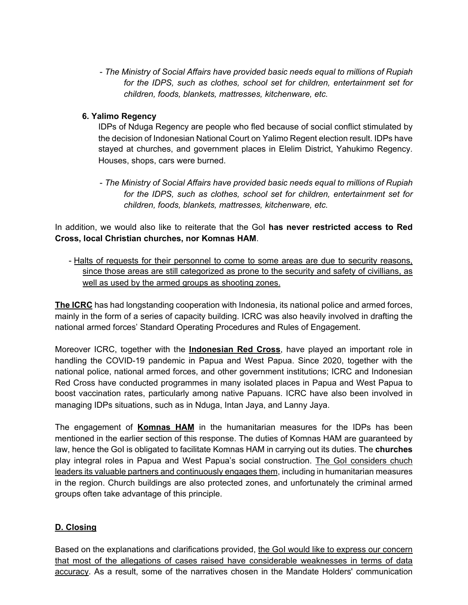- *The Ministry of Social Affairs have provided basic needs equal to millions of Rupiah for the IDPS, such as clothes, school set for children, entertainment set for children, foods, blankets, mattresses, kitchenware, etc.*

# **6. Yalimo Regency**

IDPs of Nduga Regency are people who fled because of social conflict stimulated by the decision of Indonesian National Court on Yalimo Regent election result. IDPs have stayed at churches, and government places in Elelim District, Yahukimo Regency. Houses, shops, cars were burned.

- *The Ministry of Social Affairs have provided basic needs equal to millions of Rupiah for the IDPS, such as clothes, school set for children, entertainment set for children, foods, blankets, mattresses, kitchenware, etc.*

In addition, we would also like to reiterate that the GoI **has never restricted access to Red Cross, local Christian churches, nor Komnas HAM**.

- Halts of requests for their personnel to come to some areas are due to security reasons, since those areas are still categorized as prone to the security and safety of civillians, as well as used by the armed groups as shooting zones.

**The ICRC** has had longstanding cooperation with Indonesia, its national police and armed forces, mainly in the form of a series of capacity building. ICRC was also heavily involved in drafting the national armed forces' Standard Operating Procedures and Rules of Engagement.

Moreover ICRC, together with the **Indonesian Red Cross**, have played an important role in handling the COVID-19 pandemic in Papua and West Papua. Since 2020, together with the national police, national armed forces, and other government institutions; ICRC and Indonesian Red Cross have conducted programmes in many isolated places in Papua and West Papua to boost vaccination rates, particularly among native Papuans. ICRC have also been involved in managing IDPs situations, such as in Nduga, Intan Jaya, and Lanny Jaya.

The engagement of **Komnas HAM** in the humanitarian measures for the IDPs has been mentioned in the earlier section of this response. The duties of Komnas HAM are guaranteed by law, hence the GoI is obligated to facilitate Komnas HAM in carrying out its duties. The **churches** play integral roles in Papua and West Papua's social construction. The GoI considers chuch leaders its valuable partners and continuously engages them, including in humanitarian measures in the region. Church buildings are also protected zones, and unfortunately the criminal armed groups often take advantage of this principle.

# **D. Closing**

Based on the explanations and clarifications provided, the GoI would like to express our concern that most of the allegations of cases raised have considerable weaknesses in terms of data accuracy. As a result, some of the narratives chosen in the Mandate Holders' communication